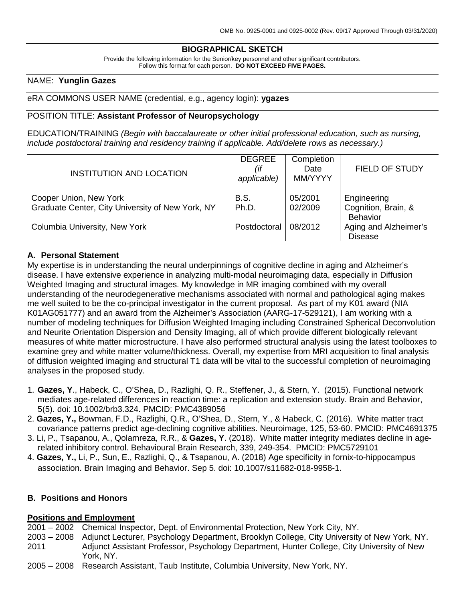# **BIOGRAPHICAL SKETCH**

Provide the following information for the Senior/key personnel and other significant contributors. Follow this format for each person. **DO NOT EXCEED FIVE PAGES.**

#### NAME: **Yunglin Gazes**

#### eRA COMMONS USER NAME (credential, e.g., agency login): **ygazes**

#### POSITION TITLE: **Assistant Professor of Neuropsychology**

EDUCATION/TRAINING *(Begin with baccalaureate or other initial professional education, such as nursing, include postdoctoral training and residency training if applicable. Add/delete rows as necessary.)*

| <b>INSTITUTION AND LOCATION</b>                  | <b>DEGREE</b><br>(if<br>applicable) | Completion<br>Date<br>MM/YYYY | <b>FIELD OF STUDY</b> |
|--------------------------------------------------|-------------------------------------|-------------------------------|-----------------------|
| Cooper Union, New York                           | B.S.                                | 05/2001                       | Engineering           |
| Graduate Center, City University of New York, NY | Ph.D.                               | 02/2009                       | Cognition, Brain, &   |
|                                                  |                                     |                               | <b>Behavior</b>       |
| Columbia University, New York                    | Postdoctoral                        | 08/2012                       | Aging and Alzheimer's |
|                                                  |                                     |                               | <b>Disease</b>        |

#### **A. Personal Statement**

My expertise is in understanding the neural underpinnings of cognitive decline in aging and Alzheimer's disease. I have extensive experience in analyzing multi-modal neuroimaging data, especially in Diffusion Weighted Imaging and structural images. My knowledge in MR imaging combined with my overall understanding of the neurodegenerative mechanisms associated with normal and pathological aging makes me well suited to be the co-principal investigator in the current proposal. As part of my K01 award (NIA K01AG051777) and an award from the Alzheimer's Association (AARG-17-529121), I am working with a number of modeling techniques for Diffusion Weighted Imaging including Constrained Spherical Deconvolution and Neurite Orientation Dispersion and Density Imaging, all of which provide different biologically relevant measures of white matter microstructure. I have also performed structural analysis using the latest toolboxes to examine grey and white matter volume/thickness. Overall, my expertise from MRI acquisition to final analysis of diffusion weighted imaging and structural T1 data will be vital to the successful completion of neuroimaging analyses in the proposed study.

- 1. **Gazes, Y**., Habeck, C., O'Shea, D., Razlighi, Q. R., Steffener, J., & Stern, Y. (2015). Functional network mediates age-related differences in reaction time: a replication and extension study. Brain and Behavior, 5(5). doi: 10.1002/brb3.324. PMCID: PMC4389056
- 2. **Gazes, Y.,** Bowman, F.D., Razlighi, Q.R., O'Shea, D., Stern, Y., & Habeck, C. (2016). White matter tract covariance patterns predict age-declining cognitive abilities. Neuroimage, 125, 53-60. PMCID: PMC4691375
- 3. Li, P., Tsapanou, A., Qolamreza, R.R., & **Gazes, Y**. (2018). White matter integrity mediates decline in agerelated inhibitory control. Behavioural Brain Research, 339, 249-354. PMCID: PMC5729101
- 4. **Gazes, Y.,** Li, P., Sun, E., Razlighi, Q., & Tsapanou, A. (2018) Age specificity in fornix-to-hippocampus association. Brain Imaging and Behavior. Sep 5. doi: 10.1007/s11682-018-9958-1.

#### **B. Positions and Honors**

#### **Positions and Employment**

- 2001 2002 Chemical Inspector, Dept. of Environmental Protection, New York City, NY.
- 2003 2008 Adjunct Lecturer, Psychology Department, Brooklyn College, City University of New York, NY. 2011 Adjunct Assistant Professor, Psychology Department, Hunter College, City University of New York, NY.
- 2005 2008 Research Assistant, Taub Institute, Columbia University, New York, NY.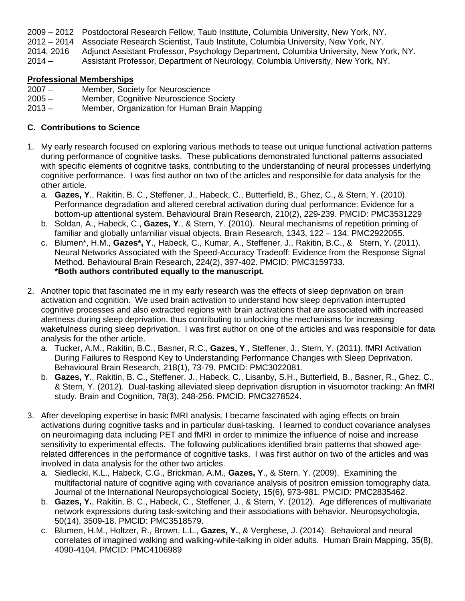- 
- 2009 2012 Postdoctoral Research Fellow, Taub Institute, Columbia University, New York, NY. Associate Research Scientist, Taub Institute, Columbia University, New York, NY.
- 2014, 2016 Adjunct Assistant Professor, Psychology Department, Columbia University, New York, NY.

2014 – Assistant Professor, Department of Neurology, Columbia University, New York, NY.

### **Professional Memberships**

- 2007 Member, Society for Neuroscience
- 2005 Member, Cognitive Neuroscience Society<br>2013 Member, Organization for Human Brain M
- Member, Organization for Human Brain Mapping

## **C. Contributions to Science**

- 1. My early research focused on exploring various methods to tease out unique functional activation patterns during performance of cognitive tasks. These publications demonstrated functional patterns associated with specific elements of cognitive tasks, contributing to the understanding of neural processes underlying cognitive performance. I was first author on two of the articles and responsible for data analysis for the other article.
	- a. **Gazes, Y**., Rakitin, B. C., Steffener, J., Habeck, C., Butterfield, B., Ghez, C., & Stern, Y. (2010). Performance degradation and altered cerebral activation during dual performance: Evidence for a bottom-up attentional system. Behavioural Brain Research, 210(2), 229-239. PMCID: PMC3531229
	- b. Soldan, A., Habeck, C., **Gazes, Y**., & Stern, Y. (2010). Neural mechanisms of repetition priming of familiar and globally unfamiliar visual objects. Brain Research, 1343, 122 – 134. PMC2922055.
	- c. Blumen\*, H.M., **Gazes\*, Y**., Habeck, C., Kumar, A., Steffener, J., Rakitin, B.C., & Stern, Y. (2011). Neural Networks Associated with the Speed-Accuracy Tradeoff: Evidence from the Response Signal Method. Behavioural Brain Research, 224(2), 397-402. PMCID: PMC3159733. **\*Both authors contributed equally to the manuscript.**
- 2. Another topic that fascinated me in my early research was the effects of sleep deprivation on brain activation and cognition. We used brain activation to understand how sleep deprivation interrupted cognitive processes and also extracted regions with brain activations that are associated with increased alertness during sleep deprivation, thus contributing to unlocking the mechanisms for increasing wakefulness during sleep deprivation. I was first author on one of the articles and was responsible for data analysis for the other article.
	- a. Tucker, A.M., Rakitin, B.C., Basner, R.C., **Gazes, Y**., Steffener, J., Stern, Y. (2011). fMRI Activation During Failures to Respond Key to Understanding Performance Changes with Sleep Deprivation. Behavioural Brain Research, 218(1), 73-79. PMCID: PMC3022081.
	- b. **Gazes, Y**., Rakitin, B. C., Steffener, J., Habeck, C., Lisanby, S.H., Butterfield, B., Basner, R., Ghez, C., & Stern, Y. (2012). Dual-tasking alleviated sleep deprivation disruption in visuomotor tracking: An fMRI study. Brain and Cognition, 78(3), 248-256. PMCID: PMC3278524.
- 3. After developing expertise in basic fMRI analysis, I became fascinated with aging effects on brain activations during cognitive tasks and in particular dual-tasking. I learned to conduct covariance analyses on neuroimaging data including PET and fMRI in order to minimize the influence of noise and increase sensitivity to experimental effects. The following publications identified brain patterns that showed agerelated differences in the performance of cognitive tasks. I was first author on two of the articles and was involved in data analysis for the other two articles.
	- a. Siedlecki, K.L., Habeck, C.G., Brickman, A.M., **Gazes, Y**., & Stern, Y. (2009). Examining the multifactorial nature of cognitive aging with covariance analysis of positron emission tomography data. Journal of the International Neuropsychological Society, 15(6), 973-981. PMCID: PMC2835462.
	- b. **Gazes, Y.**, Rakitin, B. C., Habeck, C., Steffener, J., & Stern, Y. (2012). Age differences of multivariate network expressions during task-switching and their associations with behavior. Neuropsychologia, 50(14), 3509-18. PMCID: PMC3518579.
	- c. Blumen, H.M., Holtzer, R., Brown, L.L., **Gazes, Y.**, & Verghese, J. (2014). Behavioral and neural correlates of imagined walking and walking-while-talking in older adults. Human Brain Mapping, 35(8), 4090-4104. PMCID: PMC4106989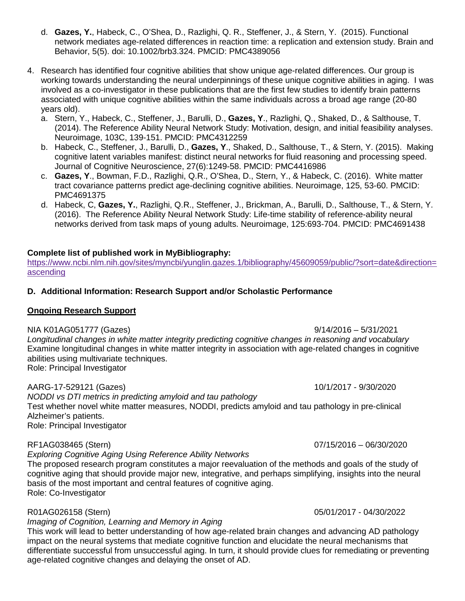- d. **Gazes, Y.**, Habeck, C., O'Shea, D., Razlighi, Q. R., Steffener, J., & Stern, Y. (2015). Functional network mediates age-related differences in reaction time: a replication and extension study. Brain and Behavior, 5(5). doi: 10.1002/brb3.324. PMCID: PMC4389056
- 4. Research has identified four cognitive abilities that show unique age-related differences. Our group is working towards understanding the neural underpinnings of these unique cognitive abilities in aging. I was involved as a co-investigator in these publications that are the first few studies to identify brain patterns associated with unique cognitive abilities within the same individuals across a broad age range (20-80 years old).
	- a. Stern, Y., Habeck, C., Steffener, J., Barulli, D., **Gazes, Y**., Razlighi, Q., Shaked, D., & Salthouse, T. (2014). The Reference Ability Neural Network Study: Motivation, design, and initial feasibility analyses. Neuroimage, 103C, 139-151. PMCID: PMC4312259
	- b. Habeck, C., Steffener, J., Barulli, D., **Gazes, Y**., Shaked, D., Salthouse, T., & Stern, Y. (2015). Making cognitive latent variables manifest: distinct neural networks for fluid reasoning and processing speed. Journal of Cognitive Neuroscience, 27(6):1249-58. PMCID: PMC4416986
	- c. **Gazes, Y**., Bowman, F.D., Razlighi, Q.R., O'Shea, D., Stern, Y., & Habeck, C. (2016). White matter tract covariance patterns predict age-declining cognitive abilities. Neuroimage, 125, 53-60. PMCID: PMC4691375
	- d. Habeck, C, **Gazes, Y.**, Razlighi, Q.R., Steffener, J., Brickman, A., Barulli, D., Salthouse, T., & Stern, Y. (2016). The Reference Ability Neural Network Study: Life-time stability of reference-ability neural networks derived from task maps of young adults. Neuroimage, 125:693-704. PMCID: PMC4691438

# **Complete list of published work in MyBibliography:**

[https://www.ncbi.nlm.nih.gov/sites/myncbi/yunglin.gazes.1/bibliography/45609059/public/?sort=date&direction=](https://www.ncbi.nlm.nih.gov/sites/myncbi/yunglin.gazes.1/bibliography/45609059/public/?sort=date&direction=ascending) [ascending](https://www.ncbi.nlm.nih.gov/sites/myncbi/yunglin.gazes.1/bibliography/45609059/public/?sort=date&direction=ascending)

# **D. Additional Information: Research Support and/or Scholastic Performance**

### **Ongoing Research Support**

NIA K01AG051777 (Gazes) 9/14/2016 – 5/31/2021

*Longitudinal changes in white matter integrity predicting cognitive changes in reasoning and vocabulary*  Examine longitudinal changes in white matter integrity in association with age-related changes in cognitive abilities using multivariate techniques. Role: Principal Investigator

AARG-17-529121 (Gazes) 10/1/2017 - 9/30/2020

*NODDI vs DTI metrics in predicting amyloid and tau pathology* Test whether novel white matter measures, NODDI, predicts amyloid and tau pathology in pre-clinical Alzheimer's patients. Role: Principal Investigator

### RF1AG038465 (Stern) 07/15/2016 – 06/30/2020

*Exploring Cognitive Aging Using Reference Ability Networks*

The proposed research program constitutes a major reevaluation of the methods and goals of the study of cognitive aging that should provide major new, integrative, and perhaps simplifying, insights into the neural basis of the most important and central features of cognitive aging. Role: Co-Investigator

# *Imaging of Cognition, Learning and Memory in Aging*

This work will lead to better understanding of how age-related brain changes and advancing AD pathology impact on the neural systems that mediate cognitive function and elucidate the neural mechanisms that differentiate successful from unsuccessful aging. In turn, it should provide clues for remediating or preventing age-related cognitive changes and delaying the onset of AD.

R01AG026158 (Stern) 05/01/2017 - 04/30/2022